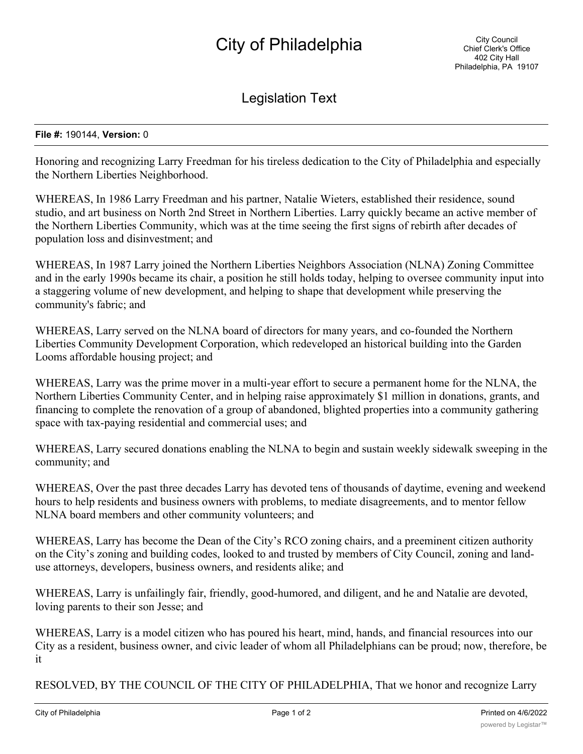## City of Philadelphia

Legislation Text

## **File #:** 190144, **Version:** 0

Honoring and recognizing Larry Freedman for his tireless dedication to the City of Philadelphia and especially the Northern Liberties Neighborhood.

WHEREAS, In 1986 Larry Freedman and his partner, Natalie Wieters, established their residence, sound studio, and art business on North 2nd Street in Northern Liberties. Larry quickly became an active member of the Northern Liberties Community, which was at the time seeing the first signs of rebirth after decades of population loss and disinvestment; and

WHEREAS, In 1987 Larry joined the Northern Liberties Neighbors Association (NLNA) Zoning Committee and in the early 1990s became its chair, a position he still holds today, helping to oversee community input into a staggering volume of new development, and helping to shape that development while preserving the community's fabric; and

WHEREAS, Larry served on the NLNA board of directors for many years, and co-founded the Northern Liberties Community Development Corporation, which redeveloped an historical building into the Garden Looms affordable housing project; and

WHEREAS, Larry was the prime mover in a multi-year effort to secure a permanent home for the NLNA, the Northern Liberties Community Center, and in helping raise approximately \$1 million in donations, grants, and financing to complete the renovation of a group of abandoned, blighted properties into a community gathering space with tax-paying residential and commercial uses; and

WHEREAS, Larry secured donations enabling the NLNA to begin and sustain weekly sidewalk sweeping in the community; and

WHEREAS, Over the past three decades Larry has devoted tens of thousands of daytime, evening and weekend hours to help residents and business owners with problems, to mediate disagreements, and to mentor fellow NLNA board members and other community volunteers; and

WHEREAS, Larry has become the Dean of the City's RCO zoning chairs, and a preeminent citizen authority on the City's zoning and building codes, looked to and trusted by members of City Council, zoning and landuse attorneys, developers, business owners, and residents alike; and

WHEREAS, Larry is unfailingly fair, friendly, good-humored, and diligent, and he and Natalie are devoted, loving parents to their son Jesse; and

WHEREAS, Larry is a model citizen who has poured his heart, mind, hands, and financial resources into our City as a resident, business owner, and civic leader of whom all Philadelphians can be proud; now, therefore, be it

RESOLVED, BY THE COUNCIL OF THE CITY OF PHILADELPHIA, That we honor and recognize Larry